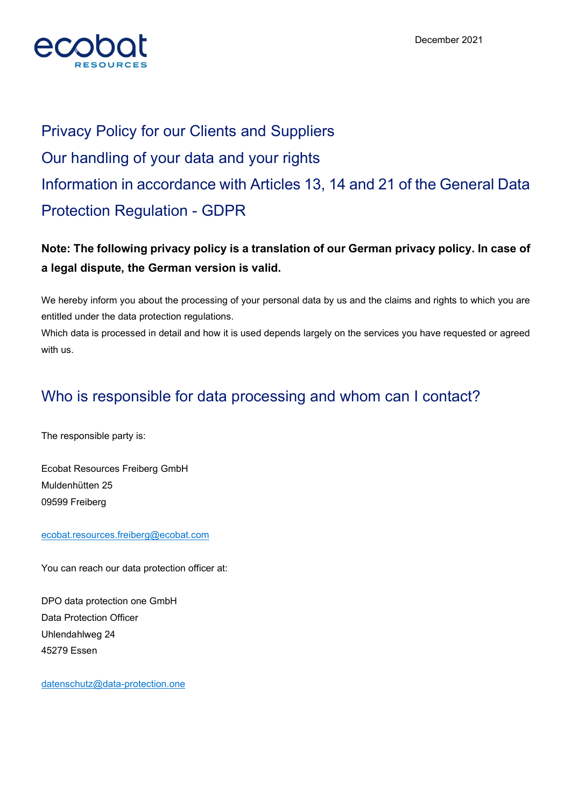

# Privacy Policy for our Clients and Suppliers Our handling of your data and your rights Information in accordance with Articles 13, 14 and 21 of the General Data Protection Regulation - GDPR

#### Note: The following privacy policy is a translation of our German privacy policy. In case of a legal dispute, the German version is valid.

We hereby inform you about the processing of your personal data by us and the claims and rights to which you are entitled under the data protection regulations.

Which data is processed in detail and how it is used depends largely on the services you have requested or agreed with us.

#### Who is responsible for data processing and whom can I contact?

The responsible party is:

Ecobat Resources Freiberg GmbH Muldenhütten 25 09599 Freiberg

#### ecobat.resources.freiberg@ecobat.com

You can reach our data protection officer at:

DPO data protection one GmbH Data Protection Officer Uhlendahlweg 24 45279 Essen

datenschutz@data-protection.one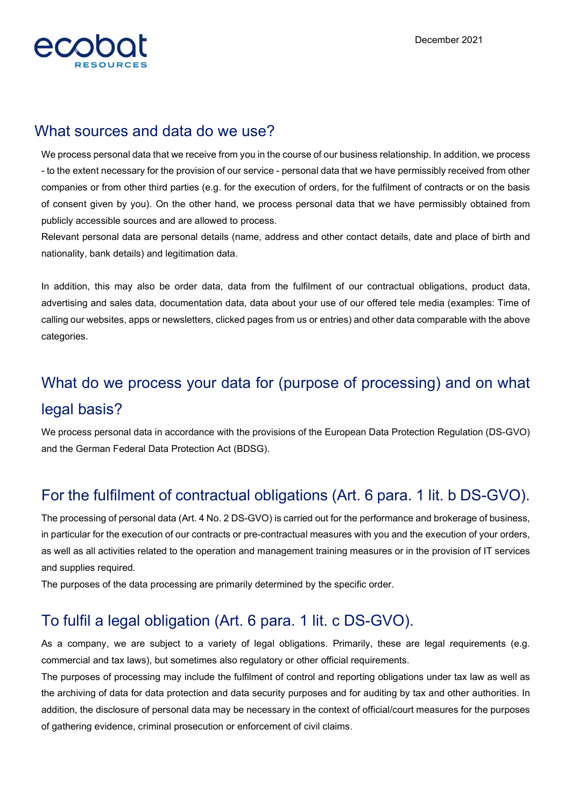

#### What sources and data do we use?

We process personal data that we receive from you in the course of our business relationship. In addition, we process - to the extent necessary for the provision of our service - personal data that we have permissibly received from other companies or from other third parties (e.g. for the execution of orders, for the fulfilment of contracts or on the basis of consent given by you). On the other hand, we process personal data that we have permissibly obtained from publicly accessible sources and are allowed to process.

Relevant personal data are personal details (name, address and other contact details, date and place of birth and nationality, bank details) and legitimation data.

In addition, this may also be order data, data from the fulfilment of our contractual obligations, product data, advertising and sales data, documentation data, data about your use of our offered tele media (examples: Time of calling our websites, apps or newsletters, clicked pages from us or entries) and other data comparable with the above categories.

## What do we process your data for (purpose of processing) and on what legal basis?

We process personal data in accordance with the provisions of the European Data Protection Regulation (DS-GVO) and the German Federal Data Protection Act (BDSG).

#### For the fulfilment of contractual obligations (Art. 6 para. 1 lit. b DS-GVO).

The processing of personal data (Art. 4 No. 2 DS-GVO) is carried out for the performance and brokerage of business, in particular for the execution of our contracts or pre-contractual measures with you and the execution of your orders, as well as all activities related to the operation and management training measures or in the provision of IT services and supplies required.

The purposes of the data processing are primarily determined by the specific order.

### To fulfil a legal obligation (Art. 6 para. 1 lit. c DS-GVO).

As a company, we are subject to a variety of legal obligations. Primarily, these are legal requirements (e.g. commercial and tax laws), but sometimes also regulatory or other official requirements.

The purposes of processing may include the fulfilment of control and reporting obligations under tax law as well as the archiving of data for data protection and data security purposes and for auditing by tax and other authorities. In addition, the disclosure of personal data may be necessary in the context of official/court measures for the purposes of gathering evidence, criminal prosecution or enforcement of civil claims.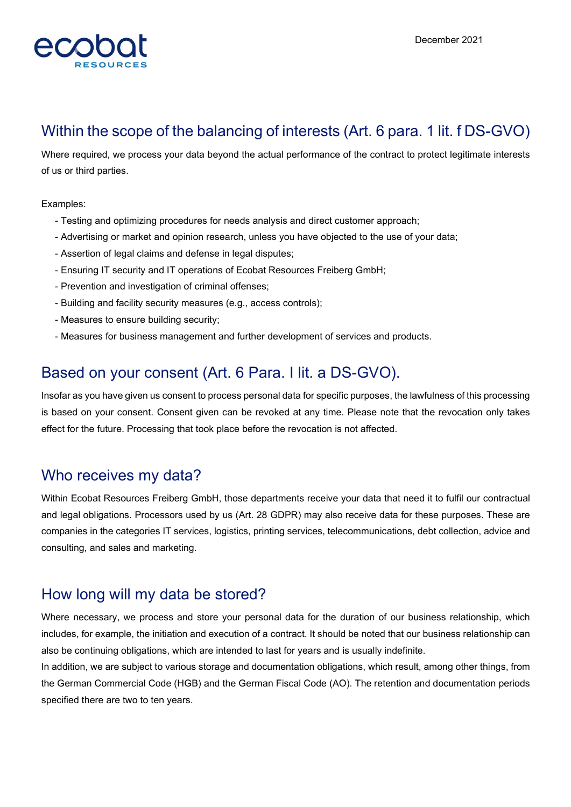

#### Within the scope of the balancing of interests (Art. 6 para. 1 lit. f DS-GVO)

Where required, we process your data beyond the actual performance of the contract to protect legitimate interests of us or third parties.

Examples:

- Testing and optimizing procedures for needs analysis and direct customer approach;
- Advertising or market and opinion research, unless you have objected to the use of your data;
- Assertion of legal claims and defense in legal disputes;
- Ensuring IT security and IT operations of Ecobat Resources Freiberg GmbH;
- Prevention and investigation of criminal offenses;
- Building and facility security measures (e.g., access controls);
- Measures to ensure building security;
- Measures for business management and further development of services and products.

### Based on your consent (Art. 6 Para. I lit. a DS-GVO).

Insofar as you have given us consent to process personal data for specific purposes, the lawfulness of this processing is based on your consent. Consent given can be revoked at any time. Please note that the revocation only takes effect for the future. Processing that took place before the revocation is not affected.

#### Who receives my data?

Within Ecobat Resources Freiberg GmbH, those departments receive your data that need it to fulfil our contractual and legal obligations. Processors used by us (Art. 28 GDPR) may also receive data for these purposes. These are companies in the categories IT services, logistics, printing services, telecommunications, debt collection, advice and consulting, and sales and marketing.

#### How long will my data be stored?

Where necessary, we process and store your personal data for the duration of our business relationship, which includes, for example, the initiation and execution of a contract. It should be noted that our business relationship can also be continuing obligations, which are intended to last for years and is usually indefinite.

In addition, we are subject to various storage and documentation obligations, which result, among other things, from the German Commercial Code (HGB) and the German Fiscal Code (AO). The retention and documentation periods specified there are two to ten years.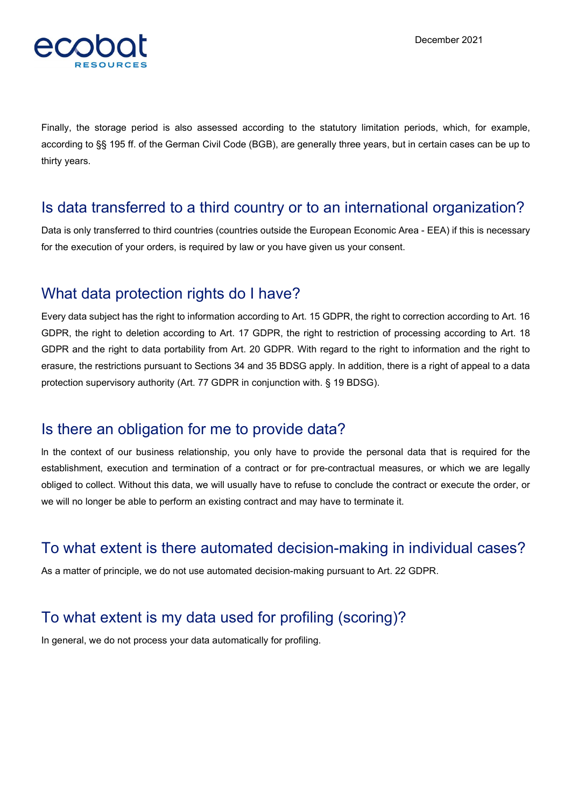

Finally, the storage period is also assessed according to the statutory limitation periods, which, for example, according to §§ 195 ff. of the German Civil Code (BGB), are generally three years, but in certain cases can be up to thirty years.

#### Is data transferred to a third country or to an international organization?

Data is only transferred to third countries (countries outside the European Economic Area - EEA) if this is necessary for the execution of your orders, is required by law or you have given us your consent.

#### What data protection rights do I have?

Every data subject has the right to information according to Art. 15 GDPR, the right to correction according to Art. 16 GDPR, the right to deletion according to Art. 17 GDPR, the right to restriction of processing according to Art. 18 GDPR and the right to data portability from Art. 20 GDPR. With regard to the right to information and the right to erasure, the restrictions pursuant to Sections 34 and 35 BDSG apply. In addition, there is a right of appeal to a data protection supervisory authority (Art. 77 GDPR in conjunction with. § 19 BDSG).

#### Is there an obligation for me to provide data?

ln the context of our business relationship, you only have to provide the personal data that is required for the establishment, execution and termination of a contract or for pre-contractual measures, or which we are legally obliged to collect. Without this data, we will usually have to refuse to conclude the contract or execute the order, or we will no longer be able to perform an existing contract and may have to terminate it.

#### To what extent is there automated decision-making in individual cases?

As a matter of principle, we do not use automated decision-making pursuant to Art. 22 GDPR.

### To what extent is my data used for profiling (scoring)?

In general, we do not process your data automatically for profiling.